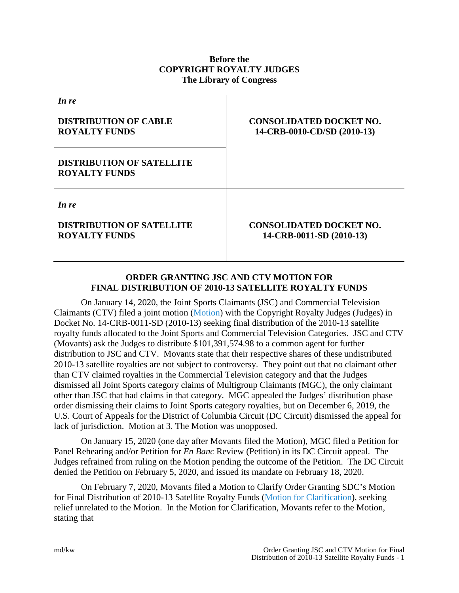# **Before the COPYRIGHT ROYALTY JUDGES The Library of Congress**

| In re                                                             |                                                               |
|-------------------------------------------------------------------|---------------------------------------------------------------|
| <b>DISTRIBUTION OF CABLE</b><br><b>ROYALTY FUNDS</b>              | <b>CONSOLIDATED DOCKET NO.</b><br>14-CRB-0010-CD/SD (2010-13) |
| <b>DISTRIBUTION OF SATELLITE</b><br><b>ROYALTY FUNDS</b>          |                                                               |
| In re<br><b>DISTRIBUTION OF SATELLITE</b><br><b>ROYALTY FUNDS</b> | <b>CONSOLIDATED DOCKET NO.</b><br>14-CRB-0011-SD (2010-13)    |

# **ORDER GRANTING JSC AND CTV MOTION FOR FINAL DISTRIBUTION OF 2010-13 SATELLITE ROYALTY FUNDS**

On January 14, 2020, the Joint Sports Claimants (JSC) and Commercial Television Claimants (CTV) filed a joint motion [\(Motion\)](https://app.crb.gov/case/viewDocument/20249) with the Copyright Royalty Judges (Judges) in Docket No. 14-CRB-0011-SD (2010-13) seeking final distribution of the 2010-13 satellite royalty funds allocated to the Joint Sports and Commercial Television Categories. JSC and CTV (Movants) ask the Judges to distribute \$101,391,574.98 to a common agent for further distribution to JSC and CTV. Movants state that their respective shares of these undistributed 2010-13 satellite royalties are not subject to controversy. They point out that no claimant other than CTV claimed royalties in the Commercial Television category and that the Judges dismissed all Joint Sports category claims of Multigroup Claimants (MGC), the only claimant other than JSC that had claims in that category. MGC appealed the Judges' distribution phase order dismissing their claims to Joint Sports category royalties, but on December 6, 2019, the U.S. Court of Appeals for the District of Columbia Circuit (DC Circuit) dismissed the appeal for lack of jurisdiction. Motion at 3. The Motion was unopposed.

On January 15, 2020 (one day after Movants filed the Motion), MGC filed a Petition for Panel Rehearing and/or Petition for *En Banc* Review (Petition) in its DC Circuit appeal. The Judges refrained from ruling on the Motion pending the outcome of the Petition. The DC Circuit denied the Petition on February 5, 2020, and issued its mandate on February 18, 2020.

On February 7, 2020, Movants filed a Motion to Clarify Order Granting SDC's Motion for Final Distribution of 2010-13 Satellite Royalty Funds [\(Motion for Clarification\)](https://app.crb.gov/case/viewDocument/21011), seeking relief unrelated to the Motion. In the Motion for Clarification, Movants refer to the Motion, stating that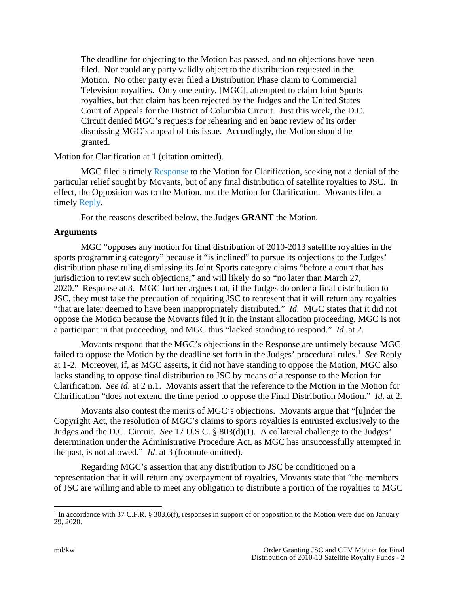The deadline for objecting to the Motion has passed, and no objections have been filed. Nor could any party validly object to the distribution requested in the Motion. No other party ever filed a Distribution Phase claim to Commercial Television royalties. Only one entity, [MGC], attempted to claim Joint Sports royalties, but that claim has been rejected by the Judges and the United States Court of Appeals for the District of Columbia Circuit. Just this week, the D.C. Circuit denied MGC's requests for rehearing and en banc review of its order dismissing MGC's appeal of this issue. Accordingly, the Motion should be granted.

Motion for Clarification at 1 (citation omitted).

MGC filed a timely [Response](https://app.crb.gov/case/viewDocument/21019) to the Motion for Clarification, seeking not a denial of the particular relief sought by Movants, but of any final distribution of satellite royalties to JSC. In effect, the Opposition was to the Motion, not the Motion for Clarification. Movants filed a timely [Reply.](https://app.crb.gov/case/viewDocument/21023)

For the reasons described below, the Judges **GRANT** the Motion.

### **Arguments**

MGC "opposes any motion for final distribution of 2010-2013 satellite royalties in the sports programming category" because it "is inclined" to pursue its objections to the Judges' distribution phase ruling dismissing its Joint Sports category claims "before a court that has jurisdiction to review such objections," and will likely do so "no later than March 27, 2020." Response at 3. MGC further argues that, if the Judges do order a final distribution to JSC, they must take the precaution of requiring JSC to represent that it will return any royalties "that are later deemed to have been inappropriately distributed." *Id*. MGC states that it did not oppose the Motion because the Movants filed it in the instant allocation proceeding, MGC is not a participant in that proceeding, and MGC thus "lacked standing to respond." *Id*. at 2.

Movants respond that the MGC's objections in the Response are untimely because MGC failed to oppose the Motion by the deadline set forth in the Judges' procedural rules. [1](#page-1-0) *See* Reply at 1-2. Moreover, if, as MGC asserts, it did not have standing to oppose the Motion, MGC also lacks standing to oppose final distribution to JSC by means of a response to the Motion for Clarification. *See id*. at 2 n.1. Movants assert that the reference to the Motion in the Motion for Clarification "does not extend the time period to oppose the Final Distribution Motion." *Id*. at 2.

Movants also contest the merits of MGC's objections. Movants argue that "[u]nder the Copyright Act, the resolution of MGC's claims to sports royalties is entrusted exclusively to the Judges and the D.C. Circuit. *See* 17 U.S.C. § 803(d)(1). A collateral challenge to the Judges' determination under the Administrative Procedure Act, as MGC has unsuccessfully attempted in the past, is not allowed." *Id*. at 3 (footnote omitted).

Regarding MGC's assertion that any distribution to JSC be conditioned on a representation that it will return any overpayment of royalties, Movants state that "the members of JSC are willing and able to meet any obligation to distribute a portion of the royalties to MGC

<span id="page-1-0"></span><sup>&</sup>lt;sup>1</sup> In accordance with 37 C.F.R. § 303.6(f), responses in support of or opposition to the Motion were due on January 29, 2020.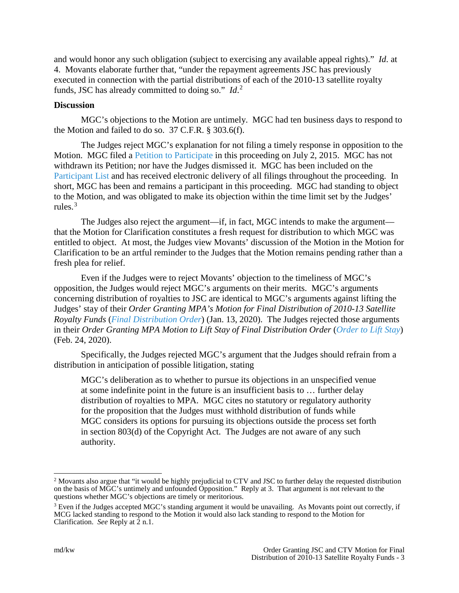and would honor any such obligation (subject to exercising any available appeal rights)." *Id*. at 4. Movants elaborate further that, "under the repayment agreements JSC has previously executed in connection with the partial distributions of each of the 2010-13 satellite royalty funds, JSC has already committed to doing so." *Id*. [2](#page-2-0)

### **Discussion**

MGC's objections to the Motion are untimely. MGC had ten business days to respond to the Motion and failed to do so. 37 C.F.R. § 303.6(f).

The Judges reject MGC's explanation for not filing a timely response in opposition to the Motion. MGC filed a [Petition to Participate](https://app.crb.gov/case/viewDocument/724) in this proceeding on July 2, 2015. MGC has not withdrawn its Petition; nor have the Judges dismissed it. MGC has been included on the [Participant List](https://app.crb.gov/case/participants/14-CRB-0011-SD%20%282010-2013%29) and has received electronic delivery of all filings throughout the proceeding. In short, MGC has been and remains a participant in this proceeding. MGC had standing to object to the Motion, and was obligated to make its objection within the time limit set by the Judges' rules. $3$ 

The Judges also reject the argument—if, in fact, MGC intends to make the argument that the Motion for Clarification constitutes a fresh request for distribution to which MGC was entitled to object. At most, the Judges view Movants' discussion of the Motion in the Motion for Clarification to be an artful reminder to the Judges that the Motion remains pending rather than a fresh plea for relief.

Even if the Judges were to reject Movants' objection to the timeliness of MGC's opposition, the Judges would reject MGC's arguments on their merits. MGC's arguments concerning distribution of royalties to JSC are identical to MGC's arguments against lifting the Judges' stay of their *Order Granting MPA's Motion for Final Distribution of 2010-13 Satellite Royalty Funds* (*[Final Distribution Order](https://app.crb.gov/case/viewDocument/20236)*) (Jan. 13, 2020). The Judges rejected those arguments in their *Order Granting MPA Motion to Lift Stay of Final Distribution Order* (*[Order to Lift Stay](https://app.crb.gov/case/viewDocument/21040)*) (Feb. 24, 2020).

Specifically, the Judges rejected MGC's argument that the Judges should refrain from a distribution in anticipation of possible litigation, stating

MGC's deliberation as to whether to pursue its objections in an unspecified venue at some indefinite point in the future is an insufficient basis to … further delay distribution of royalties to MPA. MGC cites no statutory or regulatory authority for the proposition that the Judges must withhold distribution of funds while MGC considers its options for pursuing its objections outside the process set forth in section 803(d) of the Copyright Act. The Judges are not aware of any such authority.

<span id="page-2-0"></span><sup>&</sup>lt;sup>2</sup> Movants also argue that "it would be highly prejudicial to CTV and JSC to further delay the requested distribution on the basis of MGC's untimely and unfounded Opposition." Reply at 3. That argument is not relevant to the questions whether MGC's objections are timely or meritorious.

<span id="page-2-1"></span><sup>&</sup>lt;sup>3</sup> Even if the Judges accepted MGC's standing argument it would be unavailing. As Movants point out correctly, if MCG lacked standing to respond to the Motion it would also lack standing to respond to the Motion for Clarification. *See* Reply at  $\overline{2}$  n.1.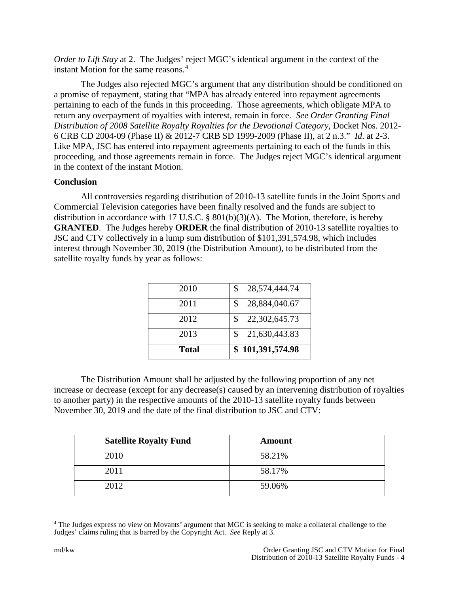*Order to Lift Stay* at 2. The Judges' reject MGC's identical argument in the context of the instant Motion for the same reasons.<sup>[4](#page-3-0)</sup>

The Judges also rejected MGC's argument that any distribution should be conditioned on a promise of repayment, stating that "MPA has already entered into repayment agreements pertaining to each of the funds in this proceeding. Those agreements, which obligate MPA to return any overpayment of royalties with interest, remain in force. *See Order Granting Final Distribution of 2008 Satellite Royalty Royalties for the Devotional Category*, Docket Nos. 2012- 6 CRB CD 2004-09 (Phase II) & 2012-7 CRB SD 1999-2009 (Phase II), at 2 n.3." *Id*. at 2-3. Like MPA, JSC has entered into repayment agreements pertaining to each of the funds in this proceeding, and those agreements remain in force. The Judges reject MGC's identical argument in the context of the instant Motion.

### **Conclusion**

All controversies regarding distribution of 2010-13 satellite funds in the Joint Sports and Commercial Television categories have been finally resolved and the funds are subject to distribution in accordance with 17 U.S.C. § 801(b)(3)(A). The Motion, therefore, is hereby **GRANTED**. The Judges hereby **ORDER** the final distribution of 2010-13 satellite royalties to JSC and CTV collectively in a lump sum distribution of \$101,391,574.98, which includes interest through November 30, 2019 (the Distribution Amount), to be distributed from the satellite royalty funds by year as follows:

| 2011<br>S<br>2012<br>S. |                                |
|-------------------------|--------------------------------|
|                         | 22,302,645.73                  |
| 2010<br>\$              | 28,574,444.74<br>28,884,040.67 |

The Distribution Amount shall be adjusted by the following proportion of any net increase or decrease (except for any decrease(s) caused by an intervening distribution of royalties to another party) in the respective amounts of the 2010-13 satellite royalty funds between November 30, 2019 and the date of the final distribution to JSC and CTV:

| <b>Satellite Royalty Fund</b> | Amount |
|-------------------------------|--------|
| 2010                          | 58.21% |
| 2011                          | 58.17% |
| 2012                          | 59.06% |

<span id="page-3-0"></span> <sup>4</sup> The Judges express no view on Movants' argument that MGC is seeking to make a collateral challenge to the Judges' claims ruling that is barred by the Copyright Act. *See* Reply at 3.